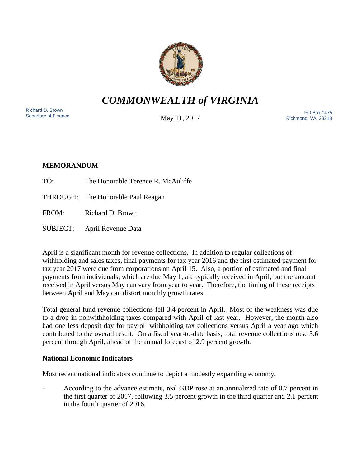

*COMMONWEALTH of VIRGINIA*

Richard D. Brown<br>Secretary of Finance

May 11, 2017

Sichard D. Brown<br>Secretary of Finance **Example 2012 12:30 November 2017** Richmond, VA. 23218

# **MEMORANDUM**

- TO: The Honorable Terence R. McAuliffe
- THROUGH: The Honorable Paul Reagan

FROM: Richard D. Brown

SUBJECT: April Revenue Data

April is a significant month for revenue collections. In addition to regular collections of withholding and sales taxes, final payments for tax year 2016 and the first estimated payment for tax year 2017 were due from corporations on April 15. Also, a portion of estimated and final payments from individuals, which are due May 1, are typically received in April, but the amount received in April versus May can vary from year to year. Therefore, the timing of these receipts between April and May can distort monthly growth rates.

Total general fund revenue collections fell 3.4 percent in April. Most of the weakness was due to a drop in nonwithholding taxes compared with April of last year. However, the month also had one less deposit day for payroll withholding tax collections versus April a year ago which contributed to the overall result. On a fiscal year-to-date basis, total revenue collections rose 3.6 percent through April, ahead of the annual forecast of 2.9 percent growth.

## **National Economic Indicators**

Most recent national indicators continue to depict a modestly expanding economy.

- According to the advance estimate, real GDP rose at an annualized rate of 0.7 percent in the first quarter of 2017, following 3.5 percent growth in the third quarter and 2.1 percent in the fourth quarter of 2016.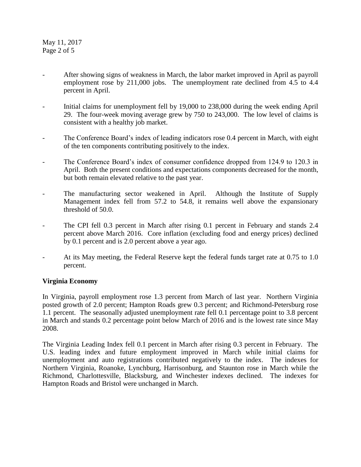May 11, 2017 Page 2 of 5

- After showing signs of weakness in March, the labor market improved in April as payroll employment rose by 211,000 jobs. The unemployment rate declined from 4.5 to 4.4 percent in April.
- Initial claims for unemployment fell by 19,000 to 238,000 during the week ending April 29. The four-week moving average grew by 750 to 243,000. The low level of claims is consistent with a healthy job market.
- The Conference Board's index of leading indicators rose 0.4 percent in March, with eight of the ten components contributing positively to the index.
- The Conference Board's index of consumer confidence dropped from 124.9 to 120.3 in April. Both the present conditions and expectations components decreased for the month, but both remain elevated relative to the past year.
- The manufacturing sector weakened in April. Although the Institute of Supply Management index fell from 57.2 to 54.8, it remains well above the expansionary threshold of 50.0.
- The CPI fell 0.3 percent in March after rising 0.1 percent in February and stands 2.4 percent above March 2016. Core inflation (excluding food and energy prices) declined by 0.1 percent and is 2.0 percent above a year ago.
- At its May meeting, the Federal Reserve kept the federal funds target rate at 0.75 to 1.0 percent.

## **Virginia Economy**

In Virginia, payroll employment rose 1.3 percent from March of last year. Northern Virginia posted growth of 2.0 percent; Hampton Roads grew 0.3 percent; and Richmond-Petersburg rose 1.1 percent. The seasonally adjusted unemployment rate fell 0.1 percentage point to 3.8 percent in March and stands 0.2 percentage point below March of 2016 and is the lowest rate since May 2008.

The Virginia Leading Index fell 0.1 percent in March after rising 0.3 percent in February. The U.S. leading index and future employment improved in March while initial claims for unemployment and auto registrations contributed negatively to the index. The indexes for Northern Virginia, Roanoke, Lynchburg, Harrisonburg, and Staunton rose in March while the Richmond, Charlottesville, Blacksburg, and Winchester indexes declined. The indexes for Hampton Roads and Bristol were unchanged in March.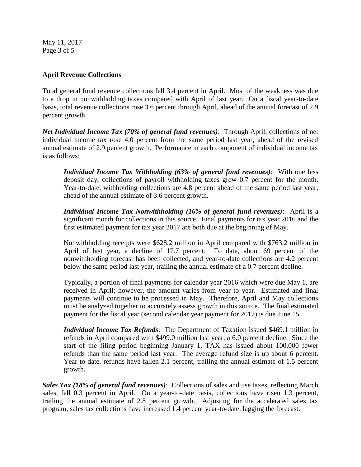May 11, 2017 Page 3 of 5

### **April Revenue Collections**

Total general fund revenue collections fell 3.4 percent in April. Most of the weakness was due to a drop in nonwithholding taxes compared with April of last year. On a fiscal year-to-date basis, total revenue collections rose 3.6 percent through April, ahead of the annual forecast of 2.9 percent growth.

*Net Individual Income Tax (70% of general fund revenues)*: Through April, collections of net individual income tax rose 4.0 percent from the same period last year, ahead of the revised annual estimate of 2.9 percent growth. Performance in each component of individual income tax is as follows:

*Individual Income Tax Withholding (63% of general fund revenues)*: With one less deposit day, collections of payroll withholding taxes grew 0.7 percent for the month. Year-to-date, withholding collections are 4.8 percent ahead of the same period last year, ahead of the annual estimate of 3.6 percent growth.

*Individual Income Tax Nonwithholding (16% of general fund revenues)*: April is a significant month for collections in this source. Final payments for tax year 2016 and the first estimated payment for tax year 2017 are both due at the beginning of May.

Nonwithholding receipts were \$628.2 million in April compared with \$763.2 million in April of last year, a decline of 17.7 percent. To date, about 69 percent of the nonwithholding forecast has been collected, and year-to-date collections are 4.2 percent below the same period last year, trailing the annual estimate of a 0.7 percent decline.

Typically, a portion of final payments for calendar year 2016 which were due May 1, are received in April; however, the amount varies from year to year. Estimated and final payments will continue to be processed in May. Therefore, April and May collections must be analyzed together to accurately assess growth in this source. The final estimated payment for the fiscal year (second calendar year payment for 2017) is due June 15.

*Individual Income Tax Refunds*: The Department of Taxation issued \$469.1 million in refunds in April compared with \$499.0 million last year, a 6.0 percent decline. Since the start of the filing period beginning January 1, TAX has issued about 100,000 fewer refunds than the same period last year. The average refund size is up about 6 percent. Year-to-date, refunds have fallen 2.1 percent, trailing the annual estimate of 1.5 percent growth.

*Sales Tax (18% of general fund revenues)*: Collections of sales and use taxes, reflecting March sales, fell 0.3 percent in April. On a year-to-date basis, collections have risen 1.3 percent, trailing the annual estimate of 2.8 percent growth. Adjusting for the accelerated sales tax program, sales tax collections have increased 1.4 percent year-to-date, lagging the forecast.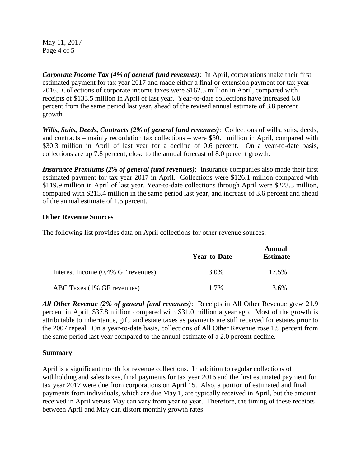May 11, 2017 Page 4 of 5

*Corporate Income Tax (4% of general fund revenues)*: In April, corporations make their first estimated payment for tax year 2017 and made either a final or extension payment for tax year 2016. Collections of corporate income taxes were \$162.5 million in April, compared with receipts of \$133.5 million in April of last year. Year-to-date collections have increased 6.8 percent from the same period last year, ahead of the revised annual estimate of 3.8 percent growth.

*Wills, Suits, Deeds, Contracts (2% of general fund revenues)*: Collections of wills, suits, deeds, and contracts – mainly recordation tax collections – were \$30.1 million in April, compared with \$30.3 million in April of last year for a decline of 0.6 percent. On a year-to-date basis, collections are up 7.8 percent, close to the annual forecast of 8.0 percent growth.

*Insurance Premiums (2% of general fund revenues)*: Insurance companies also made their first estimated payment for tax year 2017 in April. Collections were \$126.1 million compared with \$119.9 million in April of last year. Year-to-date collections through April were \$223.3 million, compared with \$215.4 million in the same period last year, and increase of 3.6 percent and ahead of the annual estimate of 1.5 percent.

### **Other Revenue Sources**

The following list provides data on April collections for other revenue sources:

|                                    | <b>Year-to-Date</b> | Annual<br><b>Estimate</b> |
|------------------------------------|---------------------|---------------------------|
| Interest Income (0.4% GF revenues) | 3.0%                | 17.5%                     |
| ABC Taxes (1% GF revenues)         | $1.7\%$             | 3.6%                      |

*All Other Revenue (2% of general fund revenues)*: Receipts in All Other Revenue grew 21.9 percent in April, \$37.8 million compared with \$31.0 million a year ago. Most of the growth is attributable to inheritance, gift, and estate taxes as payments are still received for estates prior to the 2007 repeal. On a year-to-date basis, collections of All Other Revenue rose 1.9 percent from the same period last year compared to the annual estimate of a 2.0 percent decline.

### **Summary**

April is a significant month for revenue collections. In addition to regular collections of withholding and sales taxes, final payments for tax year 2016 and the first estimated payment for tax year 2017 were due from corporations on April 15. Also, a portion of estimated and final payments from individuals, which are due May 1, are typically received in April, but the amount received in April versus May can vary from year to year. Therefore, the timing of these receipts between April and May can distort monthly growth rates.